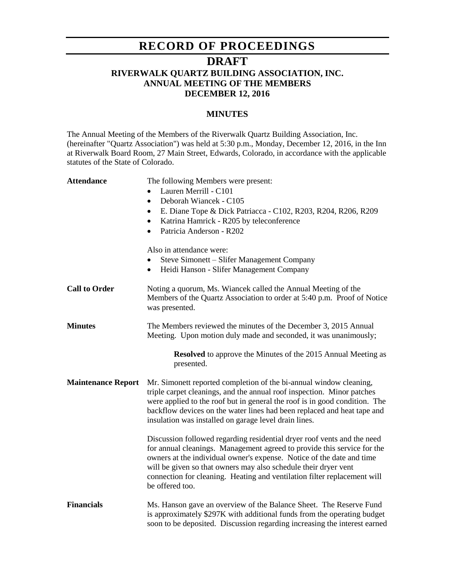# **RECORD OF PROCEEDINGS**

## **DRAFT**

## **RIVERWALK QUARTZ BUILDING ASSOCIATION, INC. ANNUAL MEETING OF THE MEMBERS DECEMBER 12, 2016**

### **MINUTES**

The Annual Meeting of the Members of the Riverwalk Quartz Building Association, Inc. (hereinafter "Quartz Association") was held at 5:30 p.m., Monday, December 12, 2016, in the Inn at Riverwalk Board Room, 27 Main Street, Edwards, Colorado, in accordance with the applicable statutes of the State of Colorado.

| <b>Attendance</b>                                                                  | The following Members were present:<br>Lauren Merrill - C101<br>Deborah Wiancek - C105<br>$\bullet$<br>E. Diane Tope & Dick Patriacca - C102, R203, R204, R206, R209<br>$\bullet$<br>Katrina Hamrick - R205 by teleconference<br>٠<br>Patricia Anderson - R202<br>$\bullet$<br>Also in attendance were:<br>Steve Simonett - Slifer Management Company<br>Heidi Hanson - Slifer Management Company<br>$\bullet$ |  |
|------------------------------------------------------------------------------------|----------------------------------------------------------------------------------------------------------------------------------------------------------------------------------------------------------------------------------------------------------------------------------------------------------------------------------------------------------------------------------------------------------------|--|
| <b>Call to Order</b>                                                               | Noting a quorum, Ms. Wiancek called the Annual Meeting of the<br>Members of the Quartz Association to order at 5:40 p.m. Proof of Notice<br>was presented.                                                                                                                                                                                                                                                     |  |
| <b>Minutes</b>                                                                     | The Members reviewed the minutes of the December 3, 2015 Annual<br>Meeting. Upon motion duly made and seconded, it was unanimously;                                                                                                                                                                                                                                                                            |  |
| <b>Resolved</b> to approve the Minutes of the 2015 Annual Meeting as<br>presented. |                                                                                                                                                                                                                                                                                                                                                                                                                |  |
| <b>Maintenance Report</b>                                                          | Mr. Simonett reported completion of the bi-annual window cleaning,<br>triple carpet cleanings, and the annual roof inspection. Minor patches<br>were applied to the roof but in general the roof is in good condition. The<br>backflow devices on the water lines had been replaced and heat tape and<br>insulation was installed on garage level drain lines.                                                 |  |
|                                                                                    | Discussion followed regarding residential dryer roof vents and the need<br>for annual cleanings. Management agreed to provide this service for the<br>owners at the individual owner's expense. Notice of the date and time<br>will be given so that owners may also schedule their dryer vent<br>connection for cleaning. Heating and ventilation filter replacement will<br>be offered too.                  |  |
| <b>Financials</b>                                                                  | Ms. Hanson gave an overview of the Balance Sheet. The Reserve Fund<br>is approximately \$297K with additional funds from the operating budget<br>soon to be deposited. Discussion regarding increasing the interest earned                                                                                                                                                                                     |  |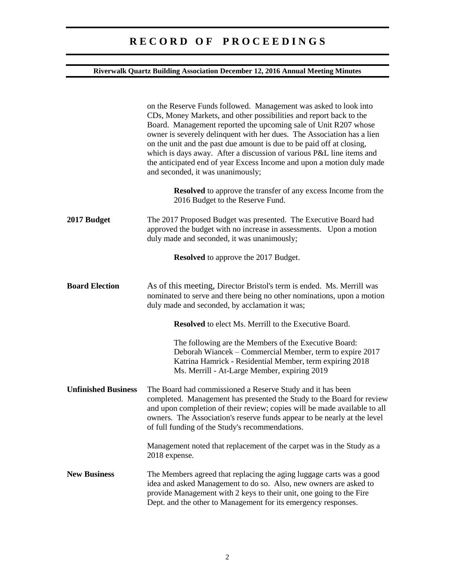# **R E C O R D O F P R O C E E D I N G S**

## **Riverwalk Quartz Building Association December 12, 2016 Annual Meeting Minutes**

|                            | on the Reserve Funds followed. Management was asked to look into<br>CDs, Money Markets, and other possibilities and report back to the<br>Board. Management reported the upcoming sale of Unit R207 whose<br>owner is severely delinquent with her dues. The Association has a lien<br>on the unit and the past due amount is due to be paid off at closing,<br>which is days away. After a discussion of various P&L line items and<br>the anticipated end of year Excess Income and upon a motion duly made<br>and seconded, it was unanimously; |
|----------------------------|----------------------------------------------------------------------------------------------------------------------------------------------------------------------------------------------------------------------------------------------------------------------------------------------------------------------------------------------------------------------------------------------------------------------------------------------------------------------------------------------------------------------------------------------------|
|                            | <b>Resolved</b> to approve the transfer of any excess Income from the<br>2016 Budget to the Reserve Fund.                                                                                                                                                                                                                                                                                                                                                                                                                                          |
| 2017 Budget                | The 2017 Proposed Budget was presented. The Executive Board had<br>approved the budget with no increase in assessments. Upon a motion<br>duly made and seconded, it was unanimously;                                                                                                                                                                                                                                                                                                                                                               |
|                            | <b>Resolved</b> to approve the 2017 Budget.                                                                                                                                                                                                                                                                                                                                                                                                                                                                                                        |
| <b>Board Election</b>      | As of this meeting, Director Bristol's term is ended. Ms. Merrill was<br>nominated to serve and there being no other nominations, upon a motion<br>duly made and seconded, by acclamation it was;                                                                                                                                                                                                                                                                                                                                                  |
|                            | <b>Resolved</b> to elect Ms. Merrill to the Executive Board.                                                                                                                                                                                                                                                                                                                                                                                                                                                                                       |
|                            | The following are the Members of the Executive Board:<br>Deborah Wiancek – Commercial Member, term to expire 2017<br>Katrina Hamrick - Residential Member, term expiring 2018<br>Ms. Merrill - At-Large Member, expiring 2019                                                                                                                                                                                                                                                                                                                      |
| <b>Unfinished Business</b> | The Board had commissioned a Reserve Study and it has been<br>completed. Management has presented the Study to the Board for review<br>and upon completion of their review; copies will be made available to all<br>owners. The Association's reserve funds appear to be nearly at the level<br>of full funding of the Study's recommendations.                                                                                                                                                                                                    |
|                            | Management noted that replacement of the carpet was in the Study as a<br>2018 expense.                                                                                                                                                                                                                                                                                                                                                                                                                                                             |
| <b>New Business</b>        | The Members agreed that replacing the aging luggage carts was a good<br>idea and asked Management to do so. Also, new owners are asked to<br>provide Management with 2 keys to their unit, one going to the Fire<br>Dept. and the other to Management for its emergency responses.                                                                                                                                                                                                                                                                 |